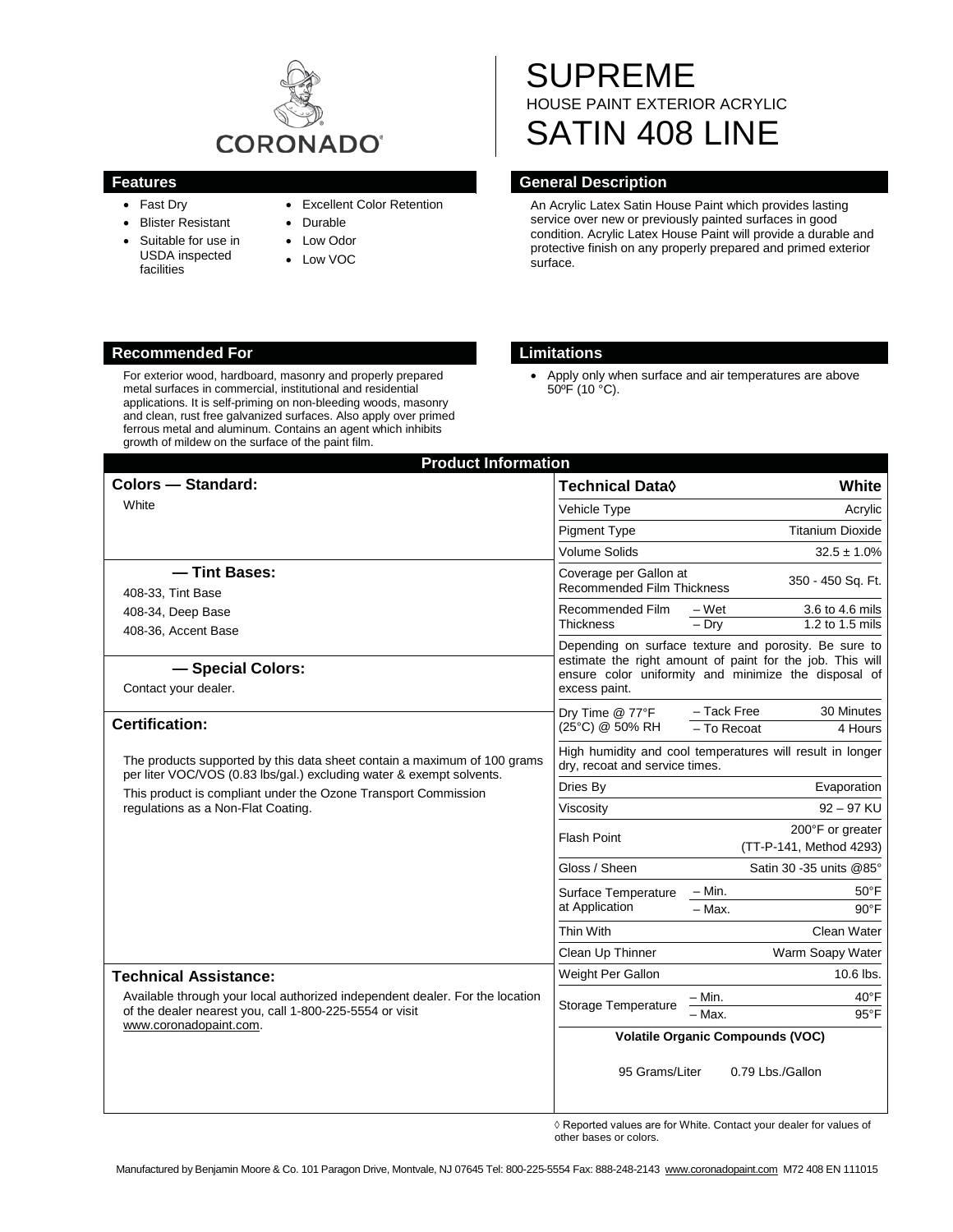

- Fast Dry
- Blister Resistant
- Suitable for use in USDA inspected facilities
- Excellent Color Retention
- Durable
- Low Odor
- Low VOC

# SUPREME HOUSE PAINT EXTERIOR ACRYLIC SATIN 408 LINE

# **Features General Description**

An Acrylic Latex Satin House Paint which provides lasting service over new or previously painted surfaces in good condition. Acrylic Latex House Paint will provide a durable and protective finish on any properly prepared and primed exterior surface.

### **Recommended For Limitations**

For exterior wood, hardboard, masonry and properly prepared metal surfaces in commercial, institutional and residential applications. It is self-priming on non-bleeding woods, masonry and clean, rust free galvanized surfaces. Also apply over primed ferrous metal and aluminum. Contains an agent which inhibits growth of mildew on the surface of the paint film.

• Apply only when surface and air temperatures are above 50ºF (10 °C).

| <b>Product Information</b>                                                                                                                                                                                                                               |                                                                                                                                                                                             |                                                        |
|----------------------------------------------------------------------------------------------------------------------------------------------------------------------------------------------------------------------------------------------------------|---------------------------------------------------------------------------------------------------------------------------------------------------------------------------------------------|--------------------------------------------------------|
| Colors - Standard:                                                                                                                                                                                                                                       | Technical Data◊                                                                                                                                                                             | White                                                  |
| White                                                                                                                                                                                                                                                    | Vehicle Type                                                                                                                                                                                | Acrylic                                                |
|                                                                                                                                                                                                                                                          | <b>Pigment Type</b>                                                                                                                                                                         | <b>Titanium Dioxide</b>                                |
|                                                                                                                                                                                                                                                          | <b>Volume Solids</b>                                                                                                                                                                        | $32.5 \pm 1.0\%$                                       |
| -Tint Bases:                                                                                                                                                                                                                                             | Coverage per Gallon at<br><b>Recommended Film Thickness</b>                                                                                                                                 | 350 - 450 Sq. Ft.                                      |
| 408-33, Tint Base                                                                                                                                                                                                                                        |                                                                                                                                                                                             |                                                        |
| 408-34, Deep Base                                                                                                                                                                                                                                        | Recommended Film<br>Thickness                                                                                                                                                               | 3.6 to 4.6 mils<br>– Wet<br>$-$ Dry<br>1.2 to 1.5 mils |
| 408-36, Accent Base                                                                                                                                                                                                                                      |                                                                                                                                                                                             |                                                        |
| - Special Colors:<br>Contact your dealer.                                                                                                                                                                                                                | Depending on surface texture and porosity. Be sure to<br>estimate the right amount of paint for the job. This will<br>ensure color uniformity and minimize the disposal of<br>excess paint. |                                                        |
| <b>Certification:</b>                                                                                                                                                                                                                                    | Drv Time @ 77°F<br>(25°C) @ 50% RH                                                                                                                                                          | - Tack Free<br>30 Minutes<br>- To Recoat<br>4 Hours    |
| The products supported by this data sheet contain a maximum of 100 grams<br>per liter VOC/VOS (0.83 lbs/gal.) excluding water & exempt solvents.<br>This product is compliant under the Ozone Transport Commission<br>regulations as a Non-Flat Coating. | High humidity and cool temperatures will result in longer<br>dry, recoat and service times.                                                                                                 |                                                        |
|                                                                                                                                                                                                                                                          | Dries By                                                                                                                                                                                    | Evaporation                                            |
|                                                                                                                                                                                                                                                          | Viscosity                                                                                                                                                                                   | $92 - 97$ KU                                           |
|                                                                                                                                                                                                                                                          | <b>Flash Point</b>                                                                                                                                                                          | 200°F or greater<br>(TT-P-141, Method 4293)            |
|                                                                                                                                                                                                                                                          | Gloss / Sheen                                                                                                                                                                               | Satin 30 - 35 units @85°                               |
|                                                                                                                                                                                                                                                          | Surface Temperature<br>at Application                                                                                                                                                       | $-$ Min.<br>$50^{\circ}$ F                             |
|                                                                                                                                                                                                                                                          |                                                                                                                                                                                             | $-Max$<br>$90^{\circ}$ F                               |
|                                                                                                                                                                                                                                                          | Thin With                                                                                                                                                                                   | Clean Water                                            |
|                                                                                                                                                                                                                                                          | Clean Up Thinner                                                                                                                                                                            | Warm Soapy Water                                       |
| <b>Technical Assistance:</b>                                                                                                                                                                                                                             | Weight Per Gallon                                                                                                                                                                           | 10.6 lbs.                                              |
| Available through your local authorized independent dealer. For the location<br>of the dealer nearest you, call 1-800-225-5554 or visit<br>www.coronadopaint.com.                                                                                        | Storage Temperature                                                                                                                                                                         | – Min.<br>$40^{\circ}$ F                               |
|                                                                                                                                                                                                                                                          |                                                                                                                                                                                             | - Max.<br>$95^{\circ}$ F                               |
|                                                                                                                                                                                                                                                          | <b>Volatile Organic Compounds (VOC)</b>                                                                                                                                                     |                                                        |
|                                                                                                                                                                                                                                                          | 95 Grams/Liter                                                                                                                                                                              | 0.79 Lbs./Gallon                                       |

 $\diamond$  Reported values are for White. Contact your dealer for values of other bases or colors.